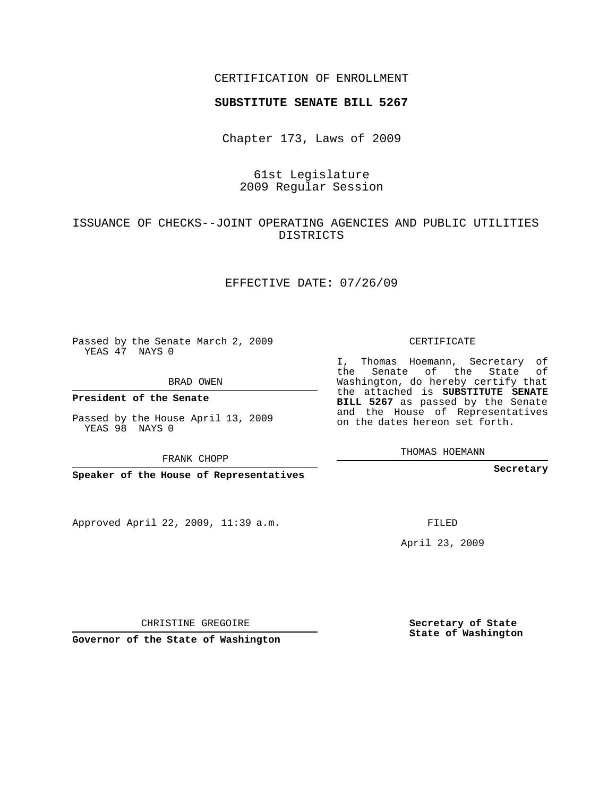#### CERTIFICATION OF ENROLLMENT

#### **SUBSTITUTE SENATE BILL 5267**

Chapter 173, Laws of 2009

## 61st Legislature 2009 Regular Session

## ISSUANCE OF CHECKS--JOINT OPERATING AGENCIES AND PUBLIC UTILITIES DISTRICTS

#### EFFECTIVE DATE: 07/26/09

Passed by the Senate March 2, 2009 YEAS 47 NAYS 0

BRAD OWEN

**President of the Senate**

Passed by the House April 13, 2009 YEAS 98 NAYS 0

FRANK CHOPP

**Speaker of the House of Representatives**

Approved April 22, 2009, 11:39 a.m.

CERTIFICATE

I, Thomas Hoemann, Secretary of the Senate of the State of Washington, do hereby certify that the attached is **SUBSTITUTE SENATE BILL 5267** as passed by the Senate and the House of Representatives on the dates hereon set forth.

THOMAS HOEMANN

**Secretary**

FILED

April 23, 2009

**Secretary of State State of Washington**

CHRISTINE GREGOIRE

**Governor of the State of Washington**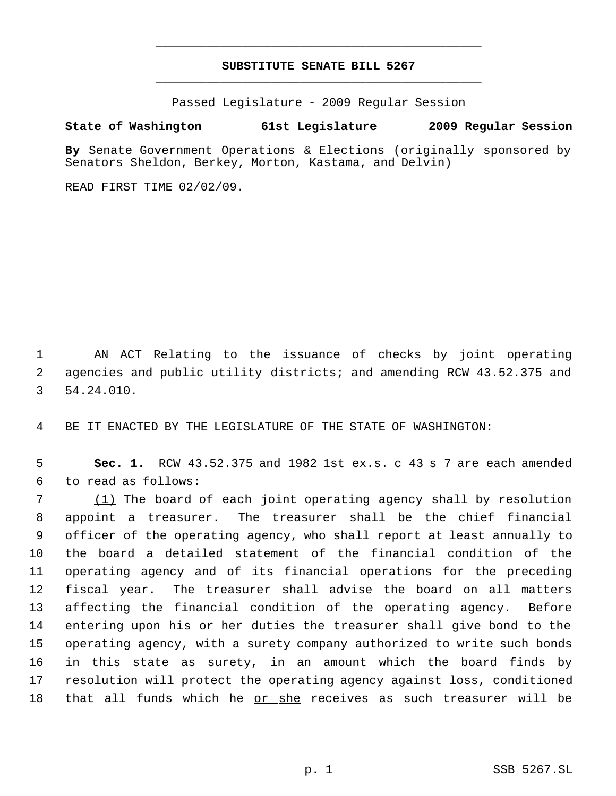# **SUBSTITUTE SENATE BILL 5267** \_\_\_\_\_\_\_\_\_\_\_\_\_\_\_\_\_\_\_\_\_\_\_\_\_\_\_\_\_\_\_\_\_\_\_\_\_\_\_\_\_\_\_\_\_

\_\_\_\_\_\_\_\_\_\_\_\_\_\_\_\_\_\_\_\_\_\_\_\_\_\_\_\_\_\_\_\_\_\_\_\_\_\_\_\_\_\_\_\_\_

Passed Legislature - 2009 Regular Session

### **State of Washington 61st Legislature 2009 Regular Session**

**By** Senate Government Operations & Elections (originally sponsored by Senators Sheldon, Berkey, Morton, Kastama, and Delvin)

READ FIRST TIME 02/02/09.

 1 AN ACT Relating to the issuance of checks by joint operating 2 agencies and public utility districts; and amending RCW 43.52.375 and 3 54.24.010.

4 BE IT ENACTED BY THE LEGISLATURE OF THE STATE OF WASHINGTON:

 5 **Sec. 1.** RCW 43.52.375 and 1982 1st ex.s. c 43 s 7 are each amended 6 to read as follows:

 (1) The board of each joint operating agency shall by resolution appoint a treasurer. The treasurer shall be the chief financial officer of the operating agency, who shall report at least annually to the board a detailed statement of the financial condition of the operating agency and of its financial operations for the preceding fiscal year. The treasurer shall advise the board on all matters affecting the financial condition of the operating agency. Before 14 entering upon his or her duties the treasurer shall give bond to the operating agency, with a surety company authorized to write such bonds in this state as surety, in an amount which the board finds by resolution will protect the operating agency against loss, conditioned 18 that all funds which he or she receives as such treasurer will be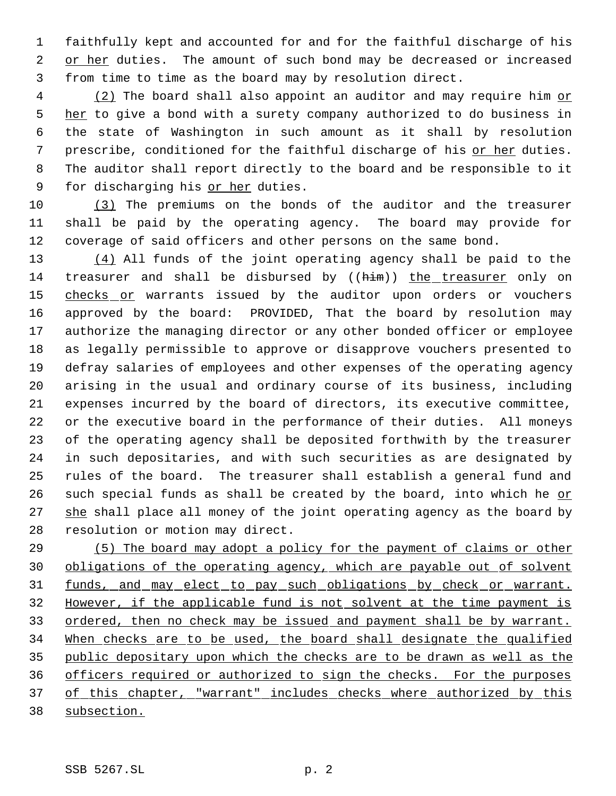faithfully kept and accounted for and for the faithful discharge of his 2 or her duties. The amount of such bond may be decreased or increased from time to time as the board may by resolution direct.

4 (2) The board shall also appoint an auditor and may require him or 5 her to give a bond with a surety company authorized to do business in the state of Washington in such amount as it shall by resolution prescribe, conditioned for the faithful discharge of his or her duties. The auditor shall report directly to the board and be responsible to it 9 for discharging his or her duties.

 (3) The premiums on the bonds of the auditor and the treasurer shall be paid by the operating agency. The board may provide for coverage of said officers and other persons on the same bond.

 (4) All funds of the joint operating agency shall be paid to the 14 treasurer and shall be disbursed by  $((\frac{h}{m}))$  the treasurer only on 15 checks or warrants issued by the auditor upon orders or vouchers approved by the board: PROVIDED, That the board by resolution may authorize the managing director or any other bonded officer or employee as legally permissible to approve or disapprove vouchers presented to defray salaries of employees and other expenses of the operating agency arising in the usual and ordinary course of its business, including expenses incurred by the board of directors, its executive committee, or the executive board in the performance of their duties. All moneys of the operating agency shall be deposited forthwith by the treasurer in such depositaries, and with such securities as are designated by rules of the board. The treasurer shall establish a general fund and 26 such special funds as shall be created by the board, into which he  $o r$ 27 she shall place all money of the joint operating agency as the board by resolution or motion may direct.

 (5) The board may adopt a policy for the payment of claims or other 30 obligations of the operating agency, which are payable out of solvent 31 funds, and may elect to pay such obligations by check or warrant. However, if the applicable fund is not solvent at the time payment is 33 ordered, then no check may be issued and payment shall be by warrant. When checks are to be used, the board shall designate the qualified public depositary upon which the checks are to be drawn as well as the officers required or authorized to sign the checks. For the purposes 37 of this chapter, "warrant" includes checks where authorized by this subsection.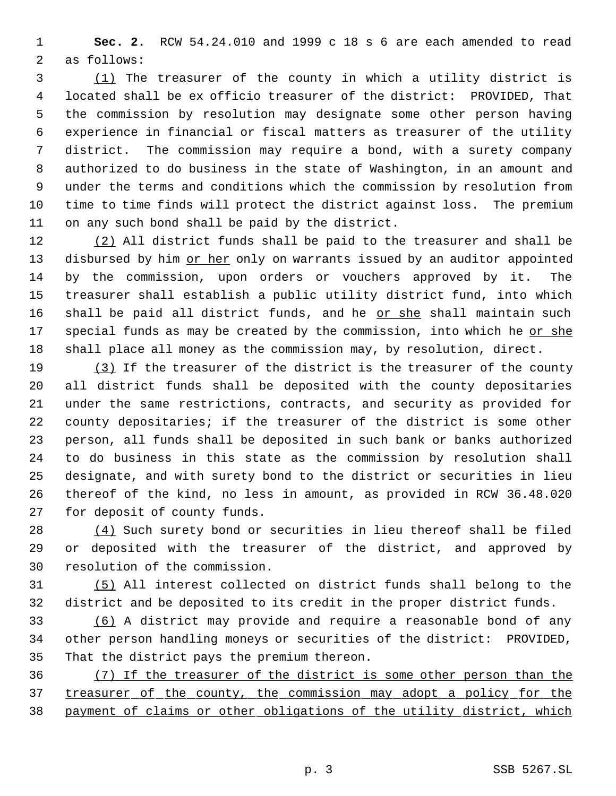**Sec. 2.** RCW 54.24.010 and 1999 c 18 s 6 are each amended to read as follows:

 (1) The treasurer of the county in which a utility district is located shall be ex officio treasurer of the district: PROVIDED, That the commission by resolution may designate some other person having experience in financial or fiscal matters as treasurer of the utility district. The commission may require a bond, with a surety company authorized to do business in the state of Washington, in an amount and under the terms and conditions which the commission by resolution from time to time finds will protect the district against loss. The premium on any such bond shall be paid by the district.

12 (2) All district funds shall be paid to the treasurer and shall be 13 disbursed by him or her only on warrants issued by an auditor appointed by the commission, upon orders or vouchers approved by it. The treasurer shall establish a public utility district fund, into which 16 shall be paid all district funds, and he or she shall maintain such 17 special funds as may be created by the commission, into which he or she shall place all money as the commission may, by resolution, direct.

19 (3) If the treasurer of the district is the treasurer of the county all district funds shall be deposited with the county depositaries under the same restrictions, contracts, and security as provided for county depositaries; if the treasurer of the district is some other person, all funds shall be deposited in such bank or banks authorized to do business in this state as the commission by resolution shall designate, and with surety bond to the district or securities in lieu thereof of the kind, no less in amount, as provided in RCW 36.48.020 for deposit of county funds.

 (4) Such surety bond or securities in lieu thereof shall be filed or deposited with the treasurer of the district, and approved by resolution of the commission.

 (5) All interest collected on district funds shall belong to the district and be deposited to its credit in the proper district funds.

 (6) A district may provide and require a reasonable bond of any other person handling moneys or securities of the district: PROVIDED, That the district pays the premium thereon.

 (7) If the treasurer of the district is some other person than the treasurer of the county, the commission may adopt a policy for the payment of claims or other obligations of the utility district, which